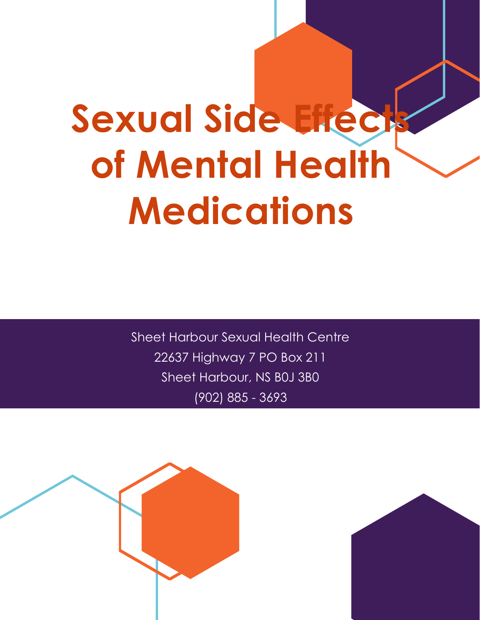# Sexual Side Effect **of Mental Health Medications**

Sheet Harbour Sexual Health Centre 22637 Highway 7 PO Box 211 Sheet Harbour, NS B0J 3B0 (902) 885 - 3693



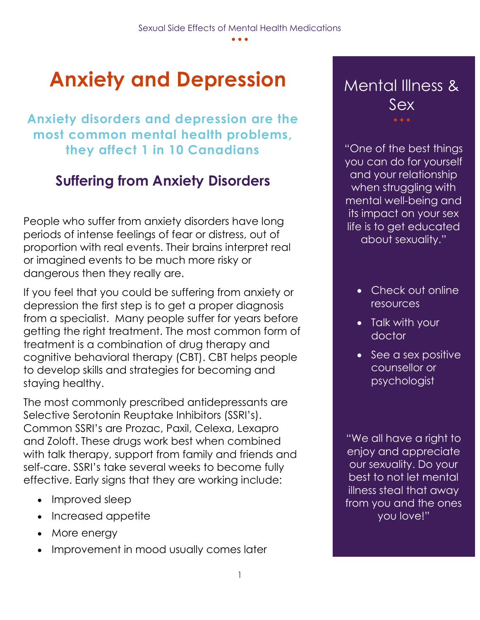# **Anxiety and Depression** Mental Illness &

**Anxiety disorders and depression are the most common mental health problems, they affect 1 in 10 Canadians**

## **Suffering from Anxiety Disorders**

People who suffer from anxiety disorders have long periods of intense feelings of fear or distress, out of proportion with real events. Their brains interpret real or imagined events to be much more risky or dangerous then they really are.

If you feel that you could be suffering from anxiety or depression the first step is to get a proper diagnosis from a specialist. Many people suffer for years before getting the right treatment. The most common form of treatment is a combination of drug therapy and cognitive behavioral therapy (CBT). CBT helps people to develop skills and strategies for becoming and staying healthy.

The most commonly prescribed antidepressants are Selective Serotonin Reuptake Inhibitors (SSRI's). Common SSRI's are Prozac, Paxil, Celexa, Lexapro and Zoloft. These drugs work best when combined with talk therapy, support from family and friends and self-care. SSRI's take several weeks to become fully effective. Early signs that they are working include:

- Improved sleep
- Increased appetite
- More energy
- Improvement in mood usually comes later

# Sex

"One of the best things you can do for yourself and your relationship when struggling with mental well-being and its impact on your sex life is to get educated about sexuality."

- Check out online resources
- Talk with your doctor
- See a sex positive counsellor or psychologist

"We all have a right to enjoy and appreciate our sexuality. Do your best to not let mental illness steal that away from you and the ones you love!"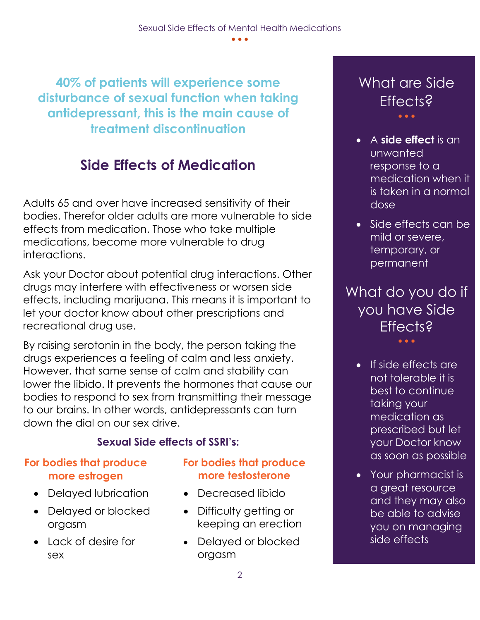**40% of patients will experience some disturbance of sexual function when taking antidepressant, this is the main cause of treatment discontinuation**

## **Side Effects of Medication**

Adults 65 and over have increased sensitivity of their bodies. Therefor older adults are more vulnerable to side effects from medication. Those who take multiple medications, become more vulnerable to drug interactions.

Ask your Doctor about potential drug interactions. Other drugs may interfere with effectiveness or worsen side effects, including marijuana. This means it is important to let your doctor know about other prescriptions and recreational drug use.

By raising serotonin in the body, the person taking the drugs experiences a feeling of calm and less anxiety. However, that same sense of calm and stability can lower the libido. It prevents the hormones that cause our bodies to respond to sex from transmitting their message to our brains. In other words, antidepressants can turn down the dial on our sex drive.

#### **Sexual Side effects of SSRI's:**

#### **For bodies that produce more estrogen**

- Delayed lubrication
- Delayed or blocked orgasm
- Lack of desire for sex

#### **For bodies that produce more testosterone**

- Decreased libido
- Difficulty getting or keeping an erection
- Delayed or blocked orgasm

#### What are Side **Fffects?** • • •

- A **side effect** is an unwanted response to a medication when it is taken in a normal dose
- Side effects can be mild or severe, temporary, or permanent

What do you do if you have Side **Effects?** • • •

- If side effects are not tolerable it is best to continue taking your medication as prescribed but let your Doctor know as soon as possible
- Your pharmacist is a great resource and they may also be able to advise you on managing side effects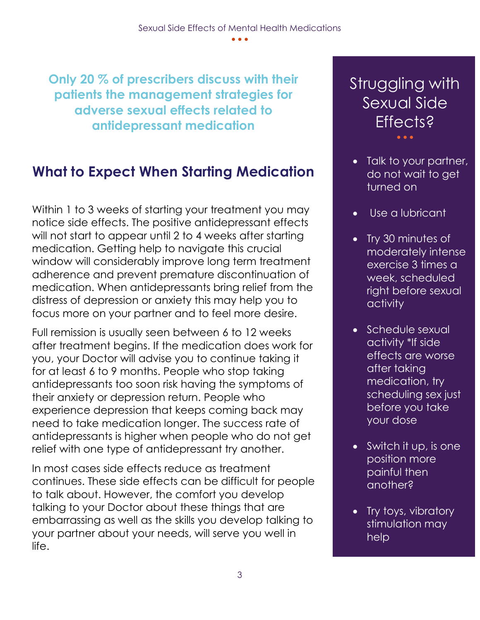**Only 20 % of prescribers discuss with their patients the management strategies for adverse sexual effects related to antidepressant medication**

## **What to Expect When Starting Medication**

Within 1 to 3 weeks of starting your treatment you may notice side effects. The positive antidepressant effects will not start to appear until 2 to 4 weeks after starting medication. Getting help to navigate this crucial window will considerably improve long term treatment adherence and prevent premature discontinuation of medication. When antidepressants bring relief from the distress of depression or anxiety this may help you to focus more on your partner and to feel more desire.

Full remission is usually seen between 6 to 12 weeks after treatment begins. If the medication does work for you, your Doctor will advise you to continue taking it for at least 6 to 9 months. People who stop taking antidepressants too soon risk having the symptoms of their anxiety or depression return. People who experience depression that keeps coming back may need to take medication longer. The success rate of antidepressants is higher when people who do not get relief with one type of antidepressant try another.

In most cases side effects reduce as treatment continues. These side effects can be difficult for people to talk about. However, the comfort you develop talking to your Doctor about these things that are embarrassing as well as the skills you develop talking to your partner about your needs, will serve you well in life.

#### Struggling with Sexual Side Effects? • • •

- Talk to your partner, do not wait to get turned on
- Use a lubricant
- Try 30 minutes of moderately intense exercise 3 times a week, scheduled right before sexual activity
- Schedule sexual activity \*If side effects are worse after taking medication, try scheduling sex just before you take your dose
- Switch it up, is one position more painful then another?
- Try toys, vibratory stimulation may help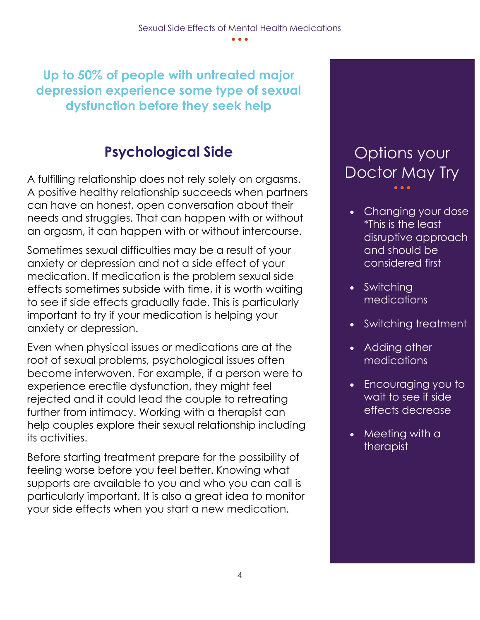**Up to 50% of people with untreated major depression experience some type of sexual dysfunction before they seek help**

## **Psychological Side**

A fulfilling relationship does not rely solely on orgasms. A positive healthy relationship succeeds when partners can have an honest, open conversation about their needs and struggles. That can happen with or without an orgasm, it can happen with or without intercourse.

Sometimes sexual difficulties may be a result of your anxiety or depression and not a side effect of your medication. If medication is the problem sexual side effects sometimes subside with time, it is worth waiting to see if side effects gradually fade. This is particularly important to try if your medication is helping your anxiety or depression.

Even when physical issues or medications are at the root of sexual problems, psychological issues often become interwoven. For example, if a person were to experience erectile dysfunction, they might feel rejected and it could lead the couple to retreating further from intimacy. Working with a therapist can help couples explore their sexual relationship including its activities.

Before starting treatment prepare for the possibility of feeling worse before you feel better. Knowing what supports are available to you and who you can call is particularly important. It is also a great idea to monitor your side effects when you start a new medication.

## Options your Doctor May Try

- Changing your dose \*This is the least disruptive approach and should be considered first
- Switching medications
- Switching treatment
- Adding other **medications**
- Encouraging you to wait to see if side effects decrease
- Meeting with a therapist